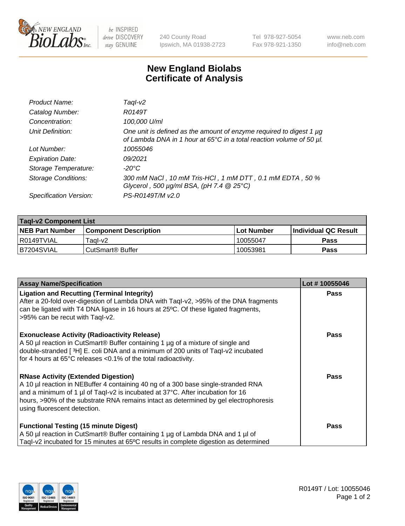

 $be$  INSPIRED drive DISCOVERY stay GENUINE

240 County Road Ipswich, MA 01938-2723 Tel 978-927-5054 Fax 978-921-1350 www.neb.com info@neb.com

## **New England Biolabs Certificate of Analysis**

| Product Name:              | Taql-v2                                                                                                                                                    |
|----------------------------|------------------------------------------------------------------------------------------------------------------------------------------------------------|
| Catalog Number:            | R0149T                                                                                                                                                     |
| Concentration:             | 100,000 U/ml                                                                                                                                               |
| Unit Definition:           | One unit is defined as the amount of enzyme required to digest 1 µg<br>of Lambda DNA in 1 hour at 65 $\degree$ C in a total reaction volume of 50 $\mu$ l. |
| Lot Number:                | 10055046                                                                                                                                                   |
| <b>Expiration Date:</b>    | 09/2021                                                                                                                                                    |
| Storage Temperature:       | $-20^{\circ}$ C                                                                                                                                            |
| <b>Storage Conditions:</b> | 300 mM NaCl, 10 mM Tris-HCl, 1 mM DTT, 0.1 mM EDTA, 50 %<br>Glycerol, 500 $\mu$ g/ml BSA, (pH 7.4 $@$ 25°C)                                                |
| Specification Version:     | PS-R0149T/M v2.0                                                                                                                                           |

| <b>Tagl-v2 Component List</b> |                         |             |                             |  |  |
|-------------------------------|-------------------------|-------------|-----------------------------|--|--|
| <b>NEB Part Number</b>        | l Component Description | ⊺Lot Number | <b>Individual QC Result</b> |  |  |
| I R0149TVIAL                  | Taal-v2                 | 10055047    | Pass                        |  |  |
| IB7204SVIAL                   | CutSmart® Buffer        | 10053981    | Pass                        |  |  |

| <b>Assay Name/Specification</b>                                                                                                                                                                                                                                                                                                           | Lot #10055046 |
|-------------------------------------------------------------------------------------------------------------------------------------------------------------------------------------------------------------------------------------------------------------------------------------------------------------------------------------------|---------------|
| <b>Ligation and Recutting (Terminal Integrity)</b><br>After a 20-fold over-digestion of Lambda DNA with Taql-v2, >95% of the DNA fragments<br>can be ligated with T4 DNA ligase in 16 hours at 25°C. Of these ligated fragments,<br>>95% can be recut with Tagl-v2.                                                                       | <b>Pass</b>   |
| <b>Exonuclease Activity (Radioactivity Release)</b><br>A 50 µl reaction in CutSmart® Buffer containing 1 µg of a mixture of single and<br>double-stranded [3H] E. coli DNA and a minimum of 200 units of Taql-v2 incubated<br>for 4 hours at 65°C releases <0.1% of the total radioactivity.                                              | <b>Pass</b>   |
| <b>RNase Activity (Extended Digestion)</b><br>A 10 µl reaction in NEBuffer 4 containing 40 ng of a 300 base single-stranded RNA<br>and a minimum of 1 µl of Taql-v2 is incubated at 37°C. After incubation for 16<br>hours, >90% of the substrate RNA remains intact as determined by gel electrophoresis<br>using fluorescent detection. | Pass          |
| <b>Functional Testing (15 minute Digest)</b><br>A 50 µl reaction in CutSmart® Buffer containing 1 µg of Lambda DNA and 1 µl of<br>Tagl-v2 incubated for 15 minutes at 65°C results in complete digestion as determined                                                                                                                    | Pass          |